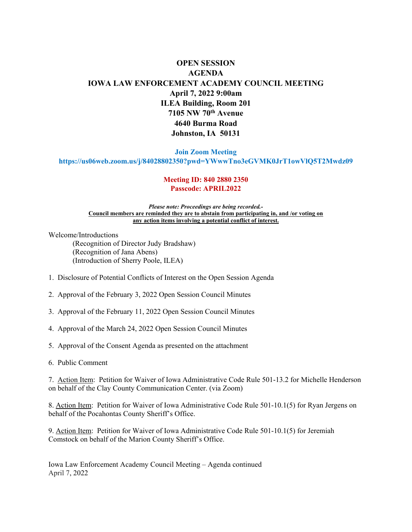## **OPEN SESSION AGENDA IOWA LAW ENFORCEMENT ACADEMY COUNCIL MEETING April 7, 2022 9:00am ILEA Building, Room 201 7105 NW 70th Avenue 4640 Burma Road Johnston, IA 50131**

#### **Join Zoom Meeting**

**https://us06web.zoom.us/j/84028802350?pwd=YWwwTno3eGVMK0JrT1owVlQ5T2Mwdz09**

#### **Meeting ID: 840 2880 2350 Passcode: APRIL2022**

#### *Please note: Proceedings are being recorded.-* **Council members are reminded they are to abstain from participating in, and /or voting on any action items involving a potential conflict of interest.**

Welcome/Introductions

(Recognition of Director Judy Bradshaw) (Recognition of Jana Abens) (Introduction of Sherry Poole, ILEA)

- 1. Disclosure of Potential Conflicts of Interest on the Open Session Agenda
- 2. Approval of the February 3, 2022 Open Session Council Minutes
- 3. Approval of the February 11, 2022 Open Session Council Minutes
- 4. Approval of the March 24, 2022 Open Session Council Minutes
- 5. Approval of the Consent Agenda as presented on the attachment
- 6. Public Comment

7. Action Item: Petition for Waiver of Iowa Administrative Code Rule 501-13.2 for Michelle Henderson on behalf of the Clay County Communication Center. (via Zoom)

8. Action Item: Petition for Waiver of Iowa Administrative Code Rule 501-10.1(5) for Ryan Jergens on behalf of the Pocahontas County Sheriff's Office.

9. Action Item: Petition for Waiver of Iowa Administrative Code Rule 501-10.1(5) for Jeremiah Comstock on behalf of the Marion County Sheriff's Office.

Iowa Law Enforcement Academy Council Meeting – Agenda continued April 7, 2022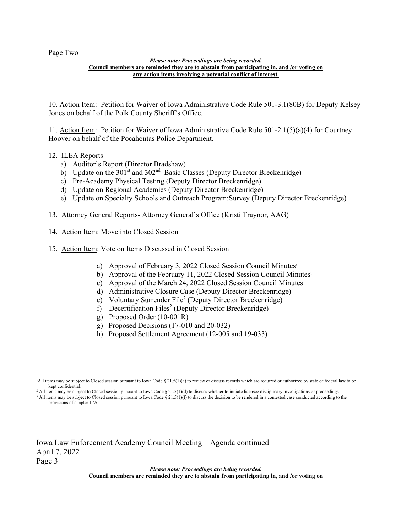Page Two

#### *Please note: Proceedings are being recorded.* **Council members are reminded they are to abstain from participating in, and /or voting on any action items involving a potential conflict of interest.**

10. Action Item: Petition for Waiver of Iowa Administrative Code Rule 501-3.1(80B) for Deputy Kelsey Jones on behalf of the Polk County Sheriff's Office.

11. Action Item: Petition for Waiver of Iowa Administrative Code Rule 501-2.1(5)(a)(4) for Courtney Hoover on behalf of the Pocahontas Police Department.

#### 12. ILEA Reports

- a) Auditor's Report (Director Bradshaw)
- b) Update on the  $301<sup>st</sup>$  and  $302<sup>nd</sup>$  Basic Classes (Deputy Director Breckenridge)
- c) Pre-Academy Physical Testing (Deputy Director Breckenridge)
- d) Update on Regional Academies (Deputy Director Breckenridge)
- e) Update on Specialty Schools and Outreach Program:Survey (Deputy Director Breckenridge)
- 13. Attorney General Reports- Attorney General's Office (Kristi Traynor, AAG)
- 14. Action Item: Move into Closed Session
- 15. Action Item: Vote on Items Discussed in Closed Session
	- a) Approval of February 3, 2022 Closed Session Council Minutes<sup>1</sup>
	- b) Approval of the February 11, 2022 Closed Session Council Minutes<sup>1</sup>
	- c) Approval of the March 24, 2022 Closed Session Council Minutes<sup>1</sup>
	- d) Administrative Closure Case (Deputy Director Breckenridge)
	- e) Voluntary Surrender File<sup>2</sup> (Deputy Director Breckenridge)
	- f) Decertification Files<sup>2</sup> (Deputy Director Breckenridge)
	- g) Proposed Order (10-001R)
	- g) Proposed Decisions (17-010 and 20-032)
	- h) Proposed Settlement Agreement (12-005 and 19-033)

<sup>2</sup> All items may be subject to Closed session pursuant to Iowa Code § 21.5(1)(d) to discuss whether to initiate licensee disciplinary investigations or proceedings  $3$  All items may be subject to Closed session pursuant to Iowa Code § 21.5(1)(f) to discuss the decision to be rendered in a contested case conducted according to the provisions of chapter 17A.

Iowa Law Enforcement Academy Council Meeting – Agenda continued

April 7, 2022

Page 3

*Please note: Proceedings are being recorded.* **Council members are reminded they are to abstain from participating in, and /or voting on**

<sup>&</sup>lt;sup>1</sup>All items may be subject to Closed session pursuant to Iowa Code § 21.5(1)(a) to review or discuss records which are required or authorized by state or federal law to be kept confidential.